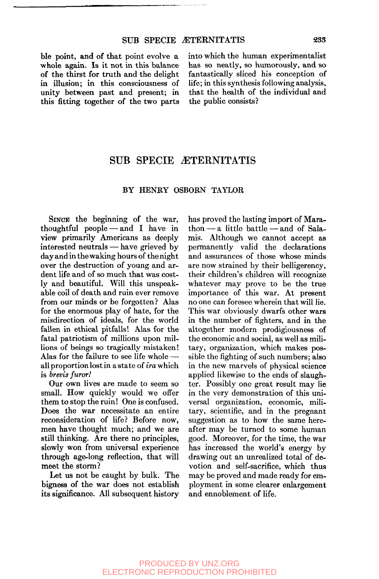ble point, and of that point evolve a whole again. Is it not in this balance of the thirst for truth and the delight in illusion; in this consciousness of unity between past and present; in this fitting together of the two parts into which the human experimentalist has so neatly, so humorously, and so fantastically sliced his conception of life; in this synthesis following analysis, that the health of the individual and the public consists?

# SUB SPECIE ÆTERNITATIS

### BY HENRY OSBORN TAYLOR

SINCE the beginning of the war, thoughtful people — and I have in view primarily Americans as deeply interested neutrals — have grieved by day and in the waking hours of the night over the destruction of young and ardent life and of so much that was costly and beautiful. Will this unspeakable coil of death and ruin ever remove from our minds or be forgotten? Alas for the enormous play of hate, for the misdirection of ideals, for the world fallen in ethical pitfalls! Alas for the fatal patriotism of millions upon millions of beings so tragically mistaken! Alas for the failure to see life whole all proportion lost in a state of *ira* which is *brevis furort* 

Our own lives are made to seem so small. How quickly would we offer them to stop the ruin! One is confused. Does the war necessitate an entire reconsideration of life? Before now, men have thought much; and we are still thinking. Are there no principles, slowly won from universal experience through age-long reflection, that will meet the storm?

Let us not be caught by bulk. The bigness of the war does not establish its significance. All subsequent history has proved the lasting import of Marathon — a little battle — and of Salamis. Although we cannot accept as permanently valid the declarations and assurances of those whose minds are now strained by their belligerency, their children's children will recognize whatever may prove to be the true importance of this war. At present no one can foresee wherein that will lie. This war obviously dwarfs other wars in the number of fighters, and in the altogether modern prodigiousness of the economic and social, as well as military, organization, which makes possible the fighting of such numbers; also in the new marvels of physical science applied likewise to the ends of slaughter. Possibly one great result may lie in the very demonstration of this universal organization, economic, military, scientific, and in the pregnant suggestion as to how the same hereafter may be turned to some human good. Moreover, for the time, the war has increased the world's energy by drawing out an unrealized total of devotion and self-sacrifice, which thus may be proved and made ready for employment in some clearer enlargement and ennoblement of life.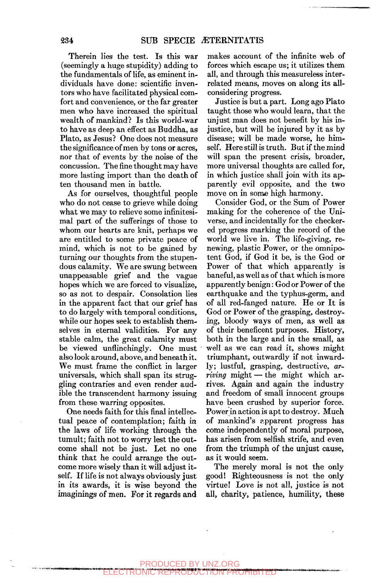Therein lies the test. Is this war (seemingly a huge stupidity) adding to the fundamentals of life, as eminent individuals have done: scientific inventors who have facilitated physical comfort and convenience, or the far greater men who have increased the spiritual wealth of mankind? Is this world-war to have as deep an effect as Buddha, as Plato, as Jesus? One does not measure the significance of men by tons or acres, nor that of events by the noise of the concussion. The fine thought may have more lasting import than the death of ten thousand men in battle.

As for ourselves, thoughtful people who do not cease to grieve while doing what we may to relieve some infinitesimal part of the sufferings of those to whom our hearts are knit, perhaps we are entitled to some private peace of mind, which is not to be gained by turning our thoughts from the stupendous calamity. We are swung between unappeasable grief and the vague hopes which we are forced to visualize, so as not to despair. Consolation lies in the apparent fact that our grief has to do largely with temporal conditions, while our hopes seek to establish themselves in eternal validities. For any stable calm, the great calamity must be viewed unflinchingly. One must also look around, above, and beneath it. We must frame the conflict in larger universals, which shall span its struggling contraries and even render audible the transcendent harmony issuing from these warring opposites.

One needs faith for this final intellectual peace of contemplation; faith in the laws of life working through the tumult; faith not to worry lest the outcome shall not be just. Let no one think that he could arrange the outcome more wisely than it will adjust itself. If life is not always obviously just in its awards, it is wise beyond the imaginings of men. For it regards and makes account of the infinite web of forces which escape us; it utilizes them all, and through this measureless interrelated means, moves on along its allconsidering progress.

Justice is but a part. Long ago Plato taught those who would learn, that the unjust man does not benefit by his injustice, but will be injured by it as by disease; will be made worse, he himself. Here still is truth. But if the mind will span the present crisis, broader, more universal thoughts are called for, in which justice shall join with its apparently evil opposite, and the two move on in some high harmony.

Consider God, or the Sum of Power making for the coherence of the Universe, and incidentally for the checkered progress marking the record of the world we live in. The life-giving, renewing, plastic Power, or the omnipotent God, if God it be, is the God or Power of that which apparently is baneful, as well as of that which is more apparently benign: God or Power of the earthquake and the typhus-germ, and of all red-fanged nature. He or It is God or Power of the grasping, destroying, bloody ways of men, as well as of their beneficent purposes. History, both in the large and in the small, as well as we can read it, shows might triumphant, outwardly if not inwardly; lustful, grasping, destructive, *arriving* might — the might which arrives. Again and again the industry and freedom of small innocent groups have been crushed by superior force. Power in action is apt to destroy. Much of mankind's apparent progress has come independently of moral purpose, has arisen from selfish strife, and even from the triumph of the unjust cause, as it would seem.

The merely moral is not the only good! Righteousness is not the only virtue! Love is not all, justice is not all, charity, patience, humility, these

### **tl\*«l>M\*f ^» iw«»M«w**  PRODUCED BY UNZ.ORG ELECTRONIC REPRODUCTION PROHIBITED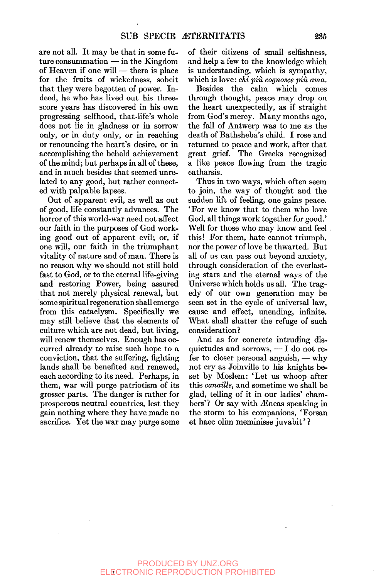are not all. It may be that in some future consummation  $-\text{in the Kingdom}$ of Heaven if one will — there is place for the fruits of wickedness, sobeit that they were begotten of power. Indeed, he who has lived out his threescore years has discovered in his own progressing selfhood, that-life's whole does not lie in gladness or in sorrow only, or in duty only, or in reaching or renouncing the heart's desire, or in accomplishing the beheld achievement of the mind; but perhaps in all of these, and in much besides that seemed unrelated to any good, but rather connected with palpable lapses.

Out of apparent evil, as well as out of good, life constantly advances. The horror of this world-war need not affect our faith in the purposes of God working good out of apparent evil; or, if one will, our faith in the triumphant vitality of nature and of man. There is no reason why we should not still hold fast to God, or to the eternal life-giving and restoring Power, being assured that not merely physical renewal, but some spiritual regeneration shall emerge from this cataclysm. Specifically we may still believe that the elements of culture which are not dead, but living, will renew themselves. Enough has occurred already to raise such hope to a conviction, that the suffering, fighting lands shall be benefited and renewed, each according to its need. Perhaps, in them, war will purge patriotism of its grosser parts. The danger is rather for prosperous neutral countries, lest they gain nothing where they have made no sacrifice. Yet the war may purge some of their citizens of small selfishness, and help a few to the knowledge which is understanding, which is sympathy, which is love: *chi più cognosce più ama.* 

Besides the calm which comes through thought, peace may drop on the heart unexpectedly, as if straight from God's mercy. Many months ago, the fall of Antwerp was to me as the death of Bathsheba's child. I rose and returned to peace and work, after that great grief. The Greeks recognized a like peace flowing from the tragic catharsis.

Thus in two ways, which often seem to join, the way of thought and the sudden lift of feeling, one gains peace. 'For we know that to them who love God, all things work together for good.' Well for those who may know and feel this! For them, hate cannot triumph, nor the power of love be thwarted. But all of us can pass out beyond anxiety, through consideration of the everlasting stars and the eternal ways of the Universe which holds us all. The tragedy of our own generation may be seen set in the cycle of universal law, cause and effect, unending, infinite. What shall shatter the refuge of such consideration?

And as for concrete intruding disquietudes and sorrows, — I do not refer to closer personal anguish, — why not cry as Joinville to his knights beset by Moslem: 'Let us whoop after this *canaille,* and sometime we shall be glad, telling of it in our ladies' chambers'? Or say with Æneas speaking in the storm to his companions, 'Forsan et haec olim meminisse juvabit' ?